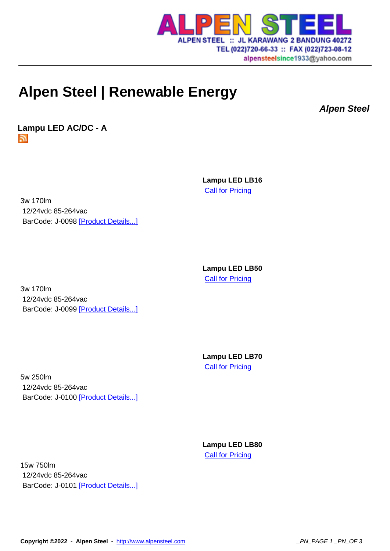

## alpensteelsince1933@yahoo.com

## **Alpen Steel | Renew[able Energy](http://www.alpensteel.com)**

**Alpen Steel**

**Lampu LED AC/DC - A**  5.

> **Lampu LED LB16 Call for Pricing**

3w 170lm 12/24vdc 85-264vac BarCode: J-0098 [Product Details...]

> **Lampu LED LB50 Call for Pricing**

3w 170lm 12/24vdc 85-264vac BarCode: J-0099 [Product Details...]

> **Lampu LED LB70 Call for Pricing**

5w 250lm 12/24vdc 85-264vac BarCode: J-0100 [Product Details...]

> **Lampu LED LB80** Call for Pricing

15w 750lm 12/24vdc 85-264vac BarCode: J-0101 [Product Details...]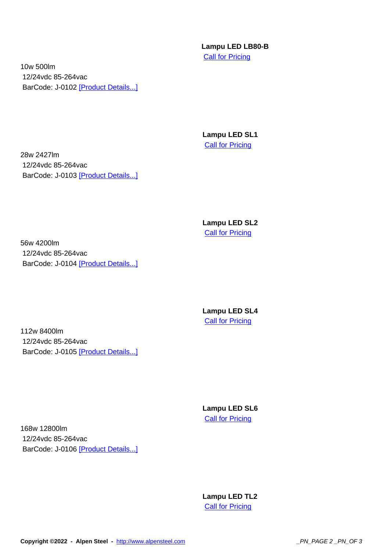**Lampu LED LB80-B Call for Pricing** 

10w 500lm 12/24vdc 85-264vac BarCode: J-0102 [Product Details...]

> **Lampu LED SL1 Call for Pricing**

28w 2427lm 12/24vdc 85-264vac BarCode: J-0103 [Product Details...]

> **Lampu LED SL2 Call for Pricing**

56w 4200lm 12/24vdc 85-264vac BarCode: J-0104 [Product Details...]

> **Lampu LED SL4 Call for Pricing**

112w 8400lm 12/24vdc 85-264vac BarCode: J-0105 [Product Details...]

> **Lampu LED SL6 Call for Pricing**

168w 12800lm 12/24vdc 85-264vac BarCode: J-0106 [Product Details...]

> **Lampu LED TL2 Call for Pricing**